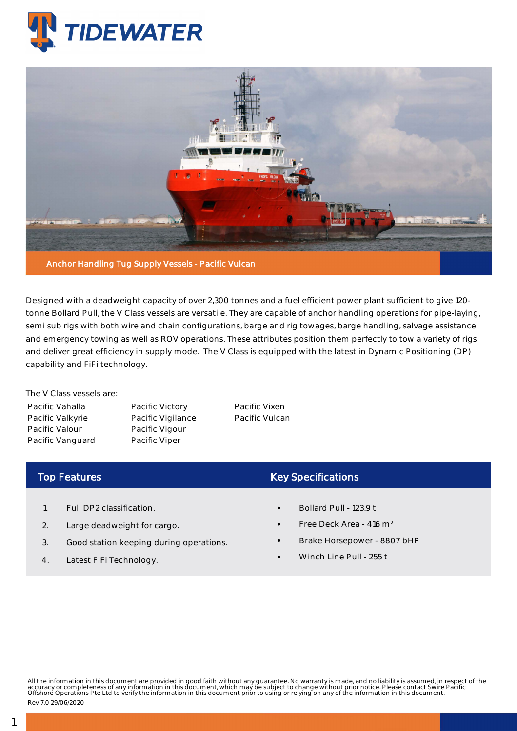



Designed with a deadweight capacity of over 2,300 tonnes and a fuel efficient power plant sufficient to give 120 tonne Bollard Pull, the V Class vessels are versatile. They are capable of anchor handling operations for pipe-laying, semi sub rigs with both wire and chain configurations, barge and rig towages, barge handling, salvage assistance and emergency towing as well as ROV operations. These attributes position them perfectly to tow a variety of rigs and deliver great efficiency in supply mode. The V Class is equipped with the latest in Dynamic Positioning (DP) capability and FiFi technology.

The V Class vessels are: Pacific Vahalla Pacific Valkyrie Pacific Valour Pacific Vanguard

Pacific Victory Pacific Vigilance Pacific Vigour Pacific Viper

Pacific Vixen Pacific Vulcan

## Top Features

- 1. Full DP2 classification.
- 2. Large deadweight for cargo.
- 3. Good station keeping during operations.
- 4. Latest FiFi Technology.

## Key Specifications

- Bollard Pull 123.9 t
- Free Deck Area 416 m²
- Brake Horsepower 8807 bHP
- Winch Line Pull 255 t

All the information in this document are provided in good faith without any guarantee. No warranty is made, and no liability is assumed, in respect of the<br>accuracy or completeness of any information in this document, which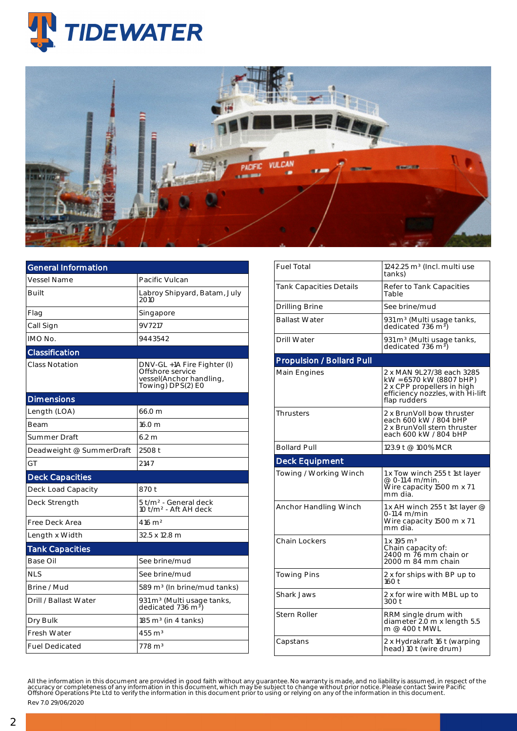



| <b>General Information</b> |                                                                                                 |  |  |  |  |
|----------------------------|-------------------------------------------------------------------------------------------------|--|--|--|--|
| <b>Vessel Name</b>         | Pacific Vulcan                                                                                  |  |  |  |  |
| Built                      | Labroy Shipyard, Batam, July<br>2010                                                            |  |  |  |  |
| Flag                       | Singapore                                                                                       |  |  |  |  |
| Call Sign                  | 9V7217                                                                                          |  |  |  |  |
| IMO No.                    | 9443542                                                                                         |  |  |  |  |
| Classification             |                                                                                                 |  |  |  |  |
| <b>Class Notation</b>      | DNV-GL +1A Fire Fighter (I)<br>Offshore service<br>vessel(Anchor handling,<br>Towing) DPS(2) E0 |  |  |  |  |
| <b>Dimensions</b>          |                                                                                                 |  |  |  |  |
| Length (LOA)               | 66.0 m                                                                                          |  |  |  |  |
| Beam                       | 16.0 <sub>m</sub>                                                                               |  |  |  |  |
| Summer Draft               | 6.2 <sub>m</sub>                                                                                |  |  |  |  |
| Deadweight @ SummerDraft   | 2508 t                                                                                          |  |  |  |  |
| GT                         | 2147                                                                                            |  |  |  |  |
| <b>Deck Capacities</b>     |                                                                                                 |  |  |  |  |
| Deck Load Capacity         | 870 t                                                                                           |  |  |  |  |
| Deck Strength              | 5 t/m <sup>2</sup> - General deck<br>10 t/m <sup>2</sup> - Aft AH deck                          |  |  |  |  |
| Free Deck Area             | 416 m <sup>2</sup>                                                                              |  |  |  |  |
| Length x Width             | 32.5 x 12.8 m                                                                                   |  |  |  |  |
| <b>Tank Capacities</b>     |                                                                                                 |  |  |  |  |
| Base Oil                   | See brine/mud                                                                                   |  |  |  |  |
| <b>NLS</b>                 | See brine/mud                                                                                   |  |  |  |  |
| Brine / Mud                | 589 m <sup>3</sup> (In brine/mud tanks)                                                         |  |  |  |  |
| Drill / Ballast Water      | 931 m <sup>3</sup> (Multi usage tanks,<br>dedicated 736 m <sup>3</sup> )                        |  |  |  |  |
| Dry Bulk                   | $185 \text{ m}^3$ (in 4 tanks)                                                                  |  |  |  |  |
| <b>Fresh Water</b>         | $455 \text{ m}^3$                                                                               |  |  |  |  |
| <b>Fuel Dedicated</b>      | $778 \text{ m}^3$                                                                               |  |  |  |  |

| <b>Fuel Total</b>                | 1242.25 m <sup>3</sup> (Incl. multi use<br>tanks)                                                                                      |  |  |  |  |
|----------------------------------|----------------------------------------------------------------------------------------------------------------------------------------|--|--|--|--|
| <b>Tank Capacities Details</b>   | Refer to Tank Capacities<br>Table                                                                                                      |  |  |  |  |
| Drilling Brine                   | See brine/mud                                                                                                                          |  |  |  |  |
| <b>Ballast Water</b>             | 931 m <sup>3</sup> (Multi usage tanks,<br>dedicated 736 m <sup>3</sup> )                                                               |  |  |  |  |
| Drill Water                      | 931 m <sup>3</sup> (Multi usage tanks,<br>dedicated 736 m <sup>3</sup> )                                                               |  |  |  |  |
| <b>Propulsion / Bollard Pull</b> |                                                                                                                                        |  |  |  |  |
| Main Engines                     | 2 x MAN 9L27/38 each 3285<br>kW = 6570 kW (8807 bHP)<br>2 x CPP propellers in high<br>efficiency nozzles, with Hi-lift<br>flap rudders |  |  |  |  |
| <b>Thrusters</b>                 | 2 x BrunVoll bow thruster<br>each 600 kW / 804 bHP<br>2 x BrunVoll stern thruster<br>each 600 kW / 804 bHP                             |  |  |  |  |
| <b>Bollard Pull</b>              | 123.9 t @ 100% MCR                                                                                                                     |  |  |  |  |
|                                  |                                                                                                                                        |  |  |  |  |
| <b>Deck Equipment</b>            |                                                                                                                                        |  |  |  |  |
| Towing / Working Winch           | 1 x Tow winch 255 t 1st layer<br>@ 0-11.4 m/min.<br>Wire capacity 1500 m x 71<br>mm dia.                                               |  |  |  |  |
| Anchor Handling Winch            | 1 x AH winch 255 t 1st layer @<br>0-11.4 m/min<br>Wire capacity 1500 m x 71<br>mm dia.                                                 |  |  |  |  |
| Chain Lockers                    | $1 \times 195$ m <sup>3</sup><br>Chain capacity of:<br>2400 m 76 mm chain or<br>2000 m 84 mm chain                                     |  |  |  |  |
| <b>Towing Pins</b>               | 2 x for ships with BP up to<br>160t                                                                                                    |  |  |  |  |
| Shark Jaws                       | 2 x for wire with MBL up to<br>300 t                                                                                                   |  |  |  |  |
| Stern Roller                     | RRM single drum with<br>diameter 2.0 m x length 5.5<br>m @ 400 t MWL                                                                   |  |  |  |  |

All the information in this document are provided in good faith without any guarantee. No warranty is made, and no liability is assumed, in respect of the<br>accuracy or completeness of any information in this document, which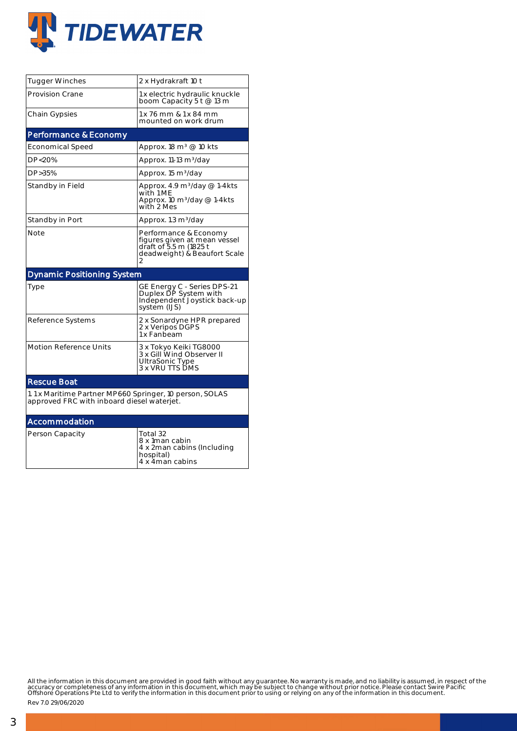

| <b>Tugger Winches</b>                                                                                 | 2 x Hydrakraft 10 t                                                                                                  |  |  |  |  |  |
|-------------------------------------------------------------------------------------------------------|----------------------------------------------------------------------------------------------------------------------|--|--|--|--|--|
| <b>Provision Crane</b>                                                                                | 1 x electric hydraulic knuckle<br>boom Capacity 5 t @ 13 m                                                           |  |  |  |  |  |
| Chain Gypsies                                                                                         | 1 x 76 mm & 1 x 84 mm<br>mounted on work drum                                                                        |  |  |  |  |  |
| Performance & Economy                                                                                 |                                                                                                                      |  |  |  |  |  |
| Economical Speed                                                                                      | Approx. 18 m <sup>3</sup> @ 10 kts                                                                                   |  |  |  |  |  |
| DP<20%                                                                                                | Approx. 11-13 m <sup>3</sup> /day                                                                                    |  |  |  |  |  |
| DP>35%                                                                                                | Approx. 15 m <sup>3</sup> /day                                                                                       |  |  |  |  |  |
| Standby in Field                                                                                      | Approx. 4.9 m <sup>3</sup> /day @ 1-4kts<br>with 1 ME<br>Approx. 10 m <sup>3</sup> /day @ 1-4kts<br>with 2 Mes       |  |  |  |  |  |
| Standby in Port                                                                                       | Approx. 1.3 m <sup>3</sup> /day                                                                                      |  |  |  |  |  |
| Note                                                                                                  | Performance & Economy<br>figures given at mean vessel<br>draft of 5.5 m (1825 t<br>deadweight) & Beaufort Scale<br>2 |  |  |  |  |  |
| <b>Dynamic Positioning System</b>                                                                     |                                                                                                                      |  |  |  |  |  |
|                                                                                                       |                                                                                                                      |  |  |  |  |  |
| Type                                                                                                  | GE Energy C - Series DPS-21<br>Duplex DP System with<br>Independenť Joystick back-up<br>system (IJS)                 |  |  |  |  |  |
| Reference Systems                                                                                     | 2 x Sonardyne HPR prepared<br>2 x Veripos DGPS<br>1 x Fanḃeam                                                        |  |  |  |  |  |
| <b>Motion Reference Units</b>                                                                         | 3 x Tokyo Keiki TG8000<br>3 x Gill Wind Observer II<br>UltraSonic Type<br>3 x VRU TTS DMS                            |  |  |  |  |  |
| <b>Rescue Boat</b>                                                                                    |                                                                                                                      |  |  |  |  |  |
| 1.1 x Maritime Partner MP660 Springer, 10 person, SOLAS<br>approved FRC with inboard diesel waterjet. |                                                                                                                      |  |  |  |  |  |
| Accommodation                                                                                         |                                                                                                                      |  |  |  |  |  |

4 x 4man cabins

All the information in this document are provided in good faith without any guarantee. No warranty is made, and no liability is assumed, in respect of the<br>accuracy or completeness of any information in this document, which